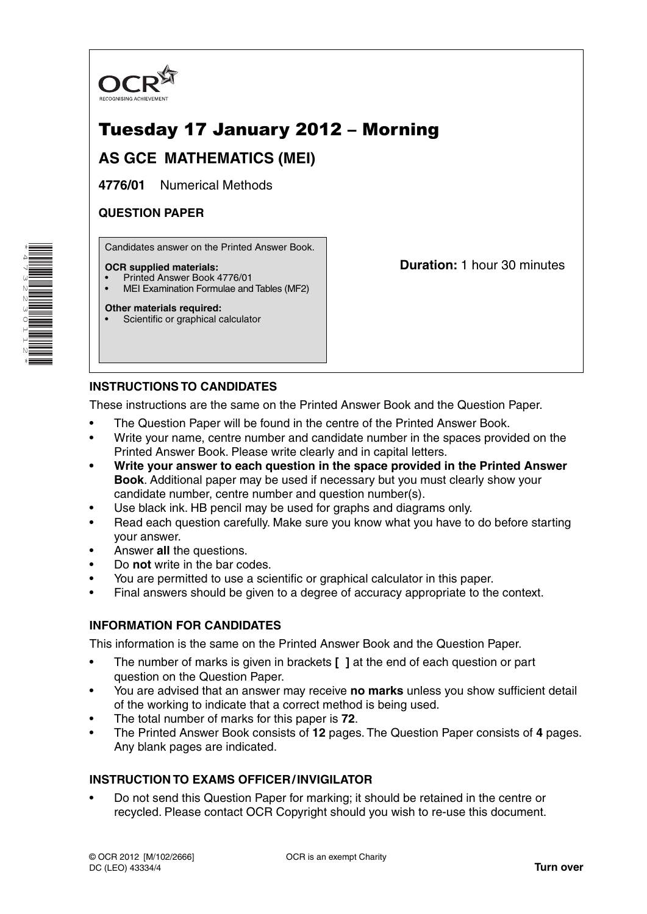

# Tuesday 17 January 2012 – Morning

## **AS GCE MATHEMATICS (MEI)**

**4776/01** Numerical Methods

## **QUESTION PAPER**

Candidates answer on the Printed Answer Book.

### **OCR supplied materials:**

- Printed Answer Book 4776/01
- MEI Examination Formulae and Tables (MF2)

### **Other materials required:**

Scientific or graphical calculator

**Duration:** 1 hour 30 minutes

## **INSTRUCTIONS TO CANDIDATES**

These instructions are the same on the Printed Answer Book and the Question Paper.

- The Question Paper will be found in the centre of the Printed Answer Book.
- Write your name, centre number and candidate number in the spaces provided on the Printed Answer Book. Please write clearly and in capital letters.
- **Write your answer to each question in the space provided in the Printed Answer Book**. Additional paper may be used if necessary but you must clearly show your candidate number, centre number and question number(s).
- Use black ink. HB pencil may be used for graphs and diagrams only.
- Read each question carefully. Make sure you know what you have to do before starting your answer.
- Answer **all** the questions.
- Do **not** write in the bar codes.
- You are permitted to use a scientific or graphical calculator in this paper.
- Final answers should be given to a degree of accuracy appropriate to the context.

## **INFORMATION FOR CANDIDATES**

This information is the same on the Printed Answer Book and the Question Paper.

- The number of marks is given in brackets **[ ]** at the end of each question or part question on the Question Paper.
- You are advised that an answer may receive **no marks** unless you show sufficient detail of the working to indicate that a correct method is being used.
- The total number of marks for this paper is **72**.
- The Printed Answer Book consists of **12** pages. The Question Paper consists of **4** pages. Any blank pages are indicated.

## **INSTRUCTION TO EXAMS OFFICER / INVIGILATOR**

• Do not send this Question Paper for marking; it should be retained in the centre or recycled. Please contact OCR Copyright should you wish to re-use this document.

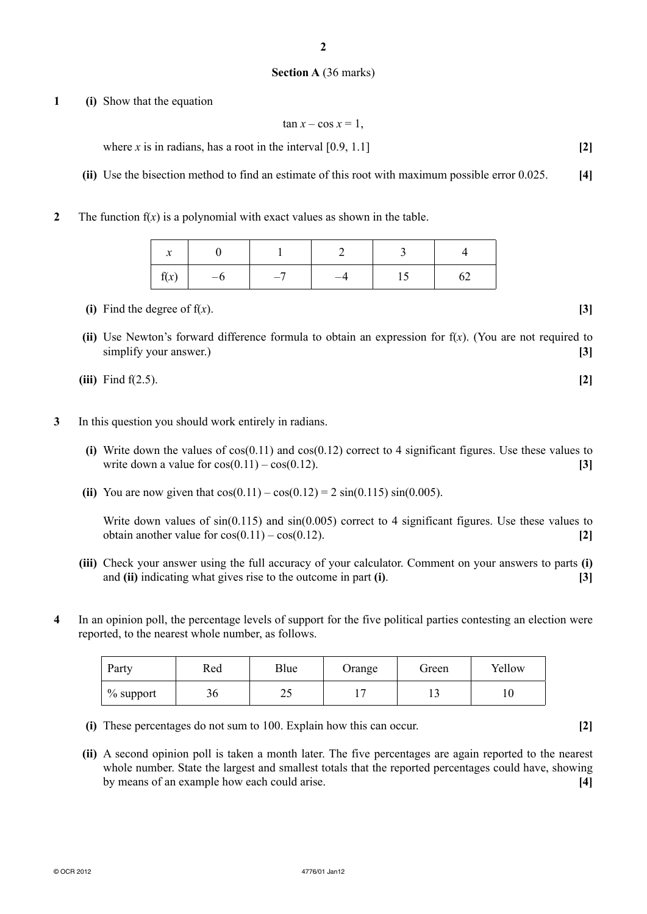**2**

#### **Section A** (36 marks)

- **1 (i)** Show that the equation
- $\tan x \cos x = 1$ ,

where *x* is in radians, has a root in the interval  $[0.9, 1.1]$  [2]

- **(ii)** Use the bisection method to find an estimate of this root with maximum possible error 0.025. **[4]**
- **2** The function  $f(x)$  is a polynomial with exact values as shown in the table.

| $\sim$<br>$\boldsymbol{\lambda}$ |      |      |        |  |
|----------------------------------|------|------|--------|--|
| $\int$ f(x)                      | $-6$ | $-7$ | $\sim$ |  |

- **(i)** Find the degree of  $f(x)$ . **[3]**
- **(ii)** Use Newton's forward difference formula to obtain an expression for f(*x*). (You are not required to simplify your answer.) **[3]**

| (iii) Find $f(2.5)$ . | $[2]$ |
|-----------------------|-------|
|                       |       |

- **3** In this question you should work entirely in radians.
	- **(i)** Write down the values of cos(0.11) and cos(0.12) correct to 4 significant figures. Use these values to write down a value for  $cos(0.11) - cos(0.12)$ . **[3]**
	- **(ii)** You are now given that  $cos(0.11) cos(0.12) = 2 sin(0.115) sin(0.005)$ .

Write down values of  $sin(0.115)$  and  $sin(0.005)$  correct to 4 significant figures. Use these values to obtain another value for  $cos(0.11) - cos(0.12)$ . **[2]** 

- **(iii)** Check your answer using the full accuracy of your calculator. Comment on your answers to parts **(i)**  and **(ii)** indicating what gives rise to the outcome in part **(i)**. **[3]**
- **4** In an opinion poll, the percentage levels of support for the five political parties contesting an election were reported, to the nearest whole number, as follows.

| Party        | Red | Blue | Orange | Green | Yellow |
|--------------|-----|------|--------|-------|--------|
| $\%$ support | 36  | ر_   | -      | ن 1   | 1 V    |

- **(i)** These percentages do not sum to 100. Explain how this can occur. **[2]**
- **(ii)** A second opinion poll is taken a month later. The five percentages are again reported to the nearest whole number. State the largest and smallest totals that the reported percentages could have, showing by means of an example how each could arise. **[4]**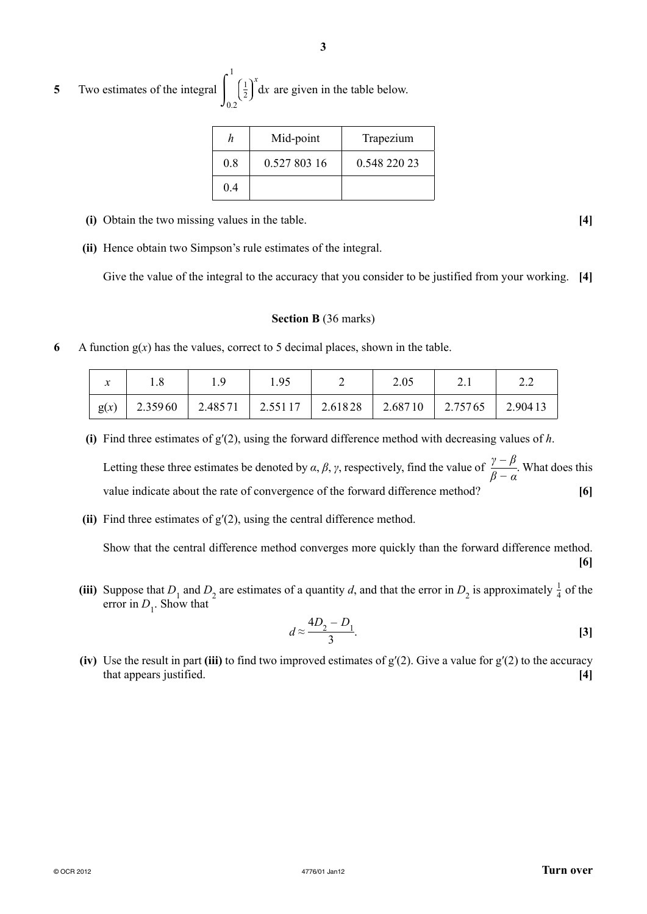**3**

|  | 5 Two estimates of the integral $\left(\begin{array}{c} \frac{1}{2} \end{array}\right)^x dx$ are given in the table below. |  |  |  |  |  |
|--|----------------------------------------------------------------------------------------------------------------------------|--|--|--|--|--|
|--|----------------------------------------------------------------------------------------------------------------------------|--|--|--|--|--|

| h   | Mid-point    | Trapezium    |
|-----|--------------|--------------|
| 08  | 0.527 803 16 | 0.548 220 23 |
| 0.4 |              |              |

- **(i)** Obtain the two missing values in the table. **[4]**
- **(ii)** Hence obtain two Simpson's rule estimates of the integral.

Give the value of the integral to the accuracy that you consider to be justified from your working. **[4]**

### **Section B** (36 marks)

**6** A function  $g(x)$  has the values, correct to 5 decimal places, shown in the table.

| $\boldsymbol{\mathcal{N}}$ |         | 1.95              | ∽       | 2.05                  |         |
|----------------------------|---------|-------------------|---------|-----------------------|---------|
| g(x)                       | 2.35960 | 2.48571   2.55117 | 2.61828 | $2.68710$   $2.75765$ | 2.90413 |

 **(i)** Find three estimates of g′(2), using the forward difference method with decreasing values of *h*.

Letting these three estimates be denoted by *α*, *β*, *γ*, respectively, find the value of  $\frac{\gamma - \beta}{\beta}$  $\frac{\beta}{\beta - \alpha}$ . What does this value indicate about the rate of convergence of the forward difference method? **[6]**

 **(ii)** Find three estimates of g′(2), using the central difference method.

Show that the central difference method converges more quickly than the forward difference method. **[6]**

(iii) Suppose that  $D_1$  and  $D_2$  are estimates of a quantity *d*, and that the error in  $D_2$  is approximately  $\frac{1}{4}$  of the error in  $D_1$ . Show that

$$
d \approx \frac{4D_2 - D_1}{3}.\tag{3}
$$

 **(iv)** Use the result in part **(iii)** to find two improved estimates of g′(2). Give a value for g′(2) to the accuracy that appears justified. **[4]**